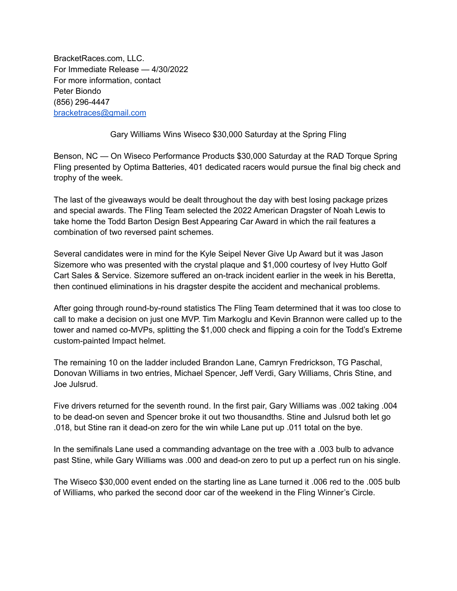BracketRaces.com, LLC. For Immediate Release — 4/30/2022 For more information, contact Peter Biondo (856) 296-4447 [bracketraces@gmail.com](mailto:bracketraces@gmail.com)

Gary Williams Wins Wiseco \$30,000 Saturday at the Spring Fling

Benson, NC — On Wiseco Performance Products \$30,000 Saturday at the RAD Torque Spring Fling presented by Optima Batteries, 401 dedicated racers would pursue the final big check and trophy of the week.

The last of the giveaways would be dealt throughout the day with best losing package prizes and special awards. The Fling Team selected the 2022 American Dragster of Noah Lewis to take home the Todd Barton Design Best Appearing Car Award in which the rail features a combination of two reversed paint schemes.

Several candidates were in mind for the Kyle Seipel Never Give Up Award but it was Jason Sizemore who was presented with the crystal plaque and \$1,000 courtesy of Ivey Hutto Golf Cart Sales & Service. Sizemore suffered an on-track incident earlier in the week in his Beretta, then continued eliminations in his dragster despite the accident and mechanical problems.

After going through round-by-round statistics The Fling Team determined that it was too close to call to make a decision on just one MVP. Tim Markoglu and Kevin Brannon were called up to the tower and named co-MVPs, splitting the \$1,000 check and flipping a coin for the Todd's Extreme custom-painted Impact helmet.

The remaining 10 on the ladder included Brandon Lane, Camryn Fredrickson, TG Paschal, Donovan Williams in two entries, Michael Spencer, Jeff Verdi, Gary Williams, Chris Stine, and Joe Julsrud.

Five drivers returned for the seventh round. In the first pair, Gary Williams was .002 taking .004 to be dead-on seven and Spencer broke it out two thousandths. Stine and Julsrud both let go .018, but Stine ran it dead-on zero for the win while Lane put up .011 total on the bye.

In the semifinals Lane used a commanding advantage on the tree with a .003 bulb to advance past Stine, while Gary Williams was .000 and dead-on zero to put up a perfect run on his single.

The Wiseco \$30,000 event ended on the starting line as Lane turned it .006 red to the .005 bulb of Williams, who parked the second door car of the weekend in the Fling Winner's Circle.